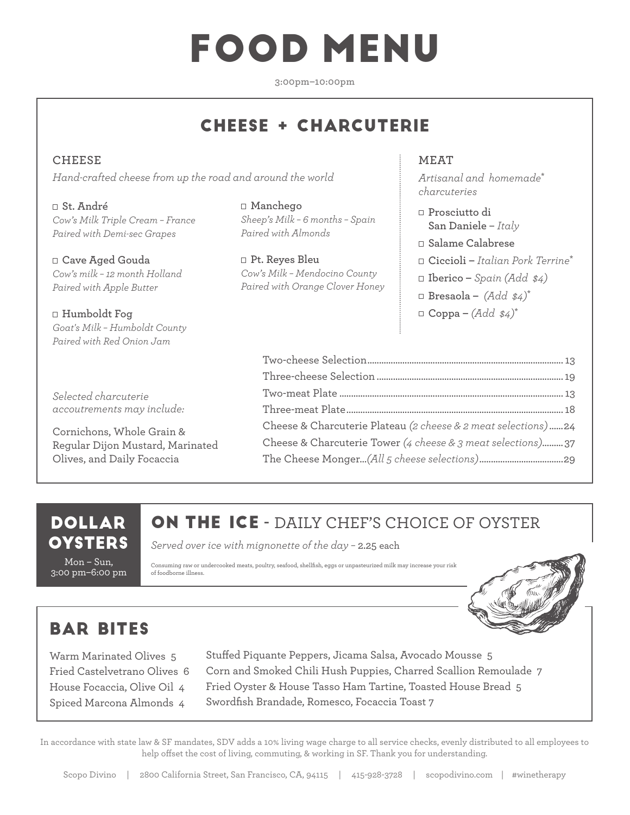# FOOD MENU

**3:00pm–10:00pm**

## CHEESE + CHARCUTERIE

**CHEESE**  *Hand-crafted cheese from up the road and around the world*

**St. André** *Cow's Milk Triple Cream – France Paired with Demi-sec Grapes*

**Cave Aged Gouda**  *Cow's milk – 12 month Holland Paired with Apple Butter*

**Humboldt Fog** *Goat's Milk – Humboldt County Paired with Red Onion Jam*

*Selected charcuterie accoutrements may include:*

Cornichons, Whole Grain & Regular Dijon Mustard, Marinated Olives, and Daily Focaccia

**Manchego**  *Sheep's Milk – 6 months – Spain Paired with Almonds*

**Pt. Reyes Bleu** *Cow's Milk – Mendocino County Paired with Orange Clover Honey*

#### **MEAT**

*Artisanal and homemade***\*** *charcuteries*

- **Prosciutto di San Daniele** – *Italy*
- **Salame Calabrese**
- **Ciccioli** *Italian Pork Terrine***\***
- **Iberico** *Spain (Add \$4)*
- $\Box$  Bresaola  $(Add \$
- $\Box$  **Coppa**  $(Add \$

| Cheese & Charcuterie Plateau (2 cheese & 2 meat selections)24 |
|---------------------------------------------------------------|
| Cheese & Charcuterie Tower (4 cheese & 3 meat selections)37   |
|                                                               |

#### DOLLAR **OYSTERS**

Mon – Sun, 3:00 pm–6:00 pm

### ON THE ICE **-** DAILY CHEF'S CHOICE OF OYSTER

*Served over ice with mignonette of the day –* 2.25 each

Consuming raw or undercooked meats, poultry, seafood, shellfish, eggs or unpasteurized milk may increase your risk of foodborne illness.



## BAR BITES

Warm Marinated Olives 5 Fried Castelvetrano Olives 6 House Focaccia, Olive Oil 4 Spiced Marcona Almonds 4

Stuffed Piquante Peppers, Jicama Salsa, Avocado Mousse 5 Corn and Smoked Chili Hush Puppies, Charred Scallion Remoulade 7 Fried Oyster & House Tasso Ham Tartine, Toasted House Bread 5 Swordfish Brandade, Romesco, Focaccia Toast 7

In accordance with state law & SF mandates, SDV adds a 10% living wage charge to all service checks, evenly distributed to all employees to help offset the cost of living, commuting, & working in SF. Thank you for understanding.